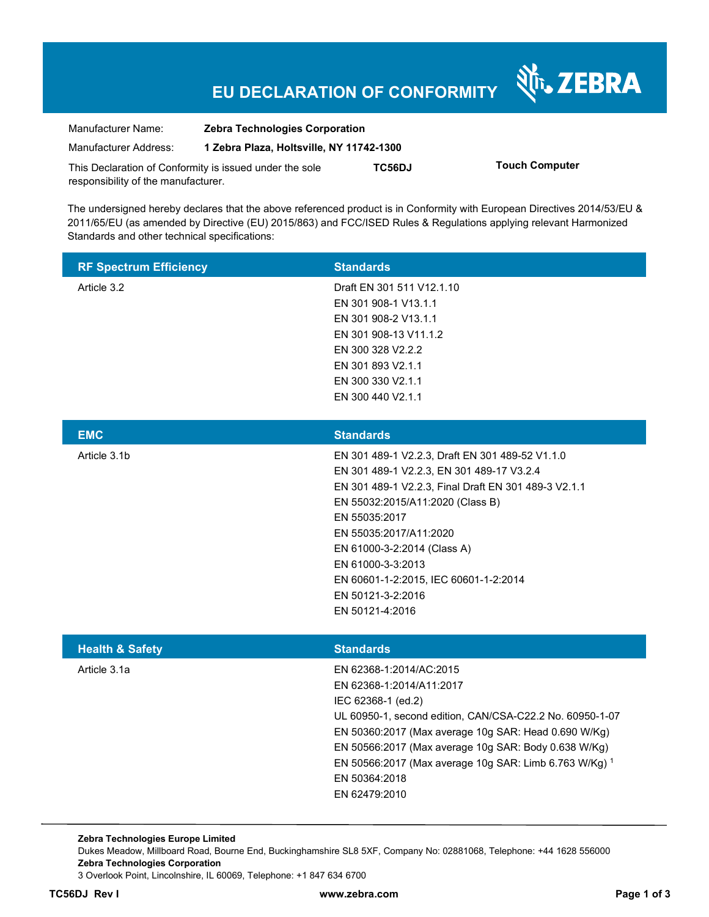# **EU DECLARATION OF CONFORMITY**

N<sub>T</sub>, ZEBRA

| Manufacturer Name:                                      | <b>Zebra Technologies Corporation</b>    |        |                       |
|---------------------------------------------------------|------------------------------------------|--------|-----------------------|
| Manufacturer Address:                                   | 1 Zebra Plaza, Holtsville, NY 11742-1300 |        |                       |
| This Declaration of Conformity is issued under the sole |                                          | TC56DJ | <b>Touch Computer</b> |
| responsibility of the manufacturer.                     |                                          |        |                       |

The undersigned hereby declares that the above referenced product is in Conformity with European Directives 2014/53/EU & 2011/65/EU (as amended by Directive (EU) 2015/863) and FCC/ISED Rules & Regulations applying relevant Harmonized Standards and other technical specifications:

| <b>RF Spectrum Efficiency</b> | <b>Standards</b>                                     |
|-------------------------------|------------------------------------------------------|
| Article 3.2                   | Draft EN 301 511 V12.1.10                            |
|                               | EN 301 908-1 V13.1.1                                 |
|                               | EN 301 908-2 V13.1.1                                 |
|                               | EN 301 908-13 V11.1.2                                |
|                               | EN 300 328 V2.2.2                                    |
|                               | EN 301 893 V2.1.1                                    |
|                               | EN 300 330 V2.1.1                                    |
|                               | EN 300 440 V2.1.1                                    |
|                               |                                                      |
| <b>EMC</b>                    | <b>Standards</b>                                     |
| Article 3.1b                  | EN 301 489-1 V2.2.3, Draft EN 301 489-52 V1.1.0      |
|                               | EN 301 489-1 V2.2.3, EN 301 489-17 V3.2.4            |
|                               | EN 301 489-1 V2.2.3, Final Draft EN 301 489-3 V2.1.1 |

EN 55035:2017

EN 55035:2017/A11:2020 EN 61000-3-2:2014 (Class A)

EN 61000-3-3:2013

EN 50121-3-2:2016

EN 55032:2015/A11:2020 (Class B)

EN 60601-1-2:2015, IEC 60601-1-2:2014

|                            | EN 50121-4:2016                                          |
|----------------------------|----------------------------------------------------------|
| <b>Health &amp; Safety</b> | <b>Standards</b>                                         |
| Article 3.1a               | EN 62368-1:2014/AC:2015                                  |
|                            | EN 62368-1:2014/A11:2017                                 |
|                            | IEC 62368-1 (ed.2)                                       |
|                            | UL 60950-1, second edition, CAN/CSA-C22.2 No. 60950-1-07 |
|                            | EN 50360:2017 (Max average 10g SAR: Head 0.690 W/Kg)     |
|                            | EN 50566:2017 (Max average 10g SAR: Body 0.638 W/Kg)     |
|                            | EN 50566:2017 (Max average 10g SAR: Limb 6.763 W/Kg) 1   |
|                            | EN 50364:2018                                            |
|                            | EN 62479:2010                                            |

**Zebra Technologies Europe Limited**  Dukes Meadow, Millboard Road, Bourne End, Buckinghamshire SL8 5XF, Company No: 02881068, Telephone: +44 1628 556000 **Zebra Technologies Corporation**  3 Overlook Point, Lincolnshire, IL 60069, Telephone: +1 847 634 6700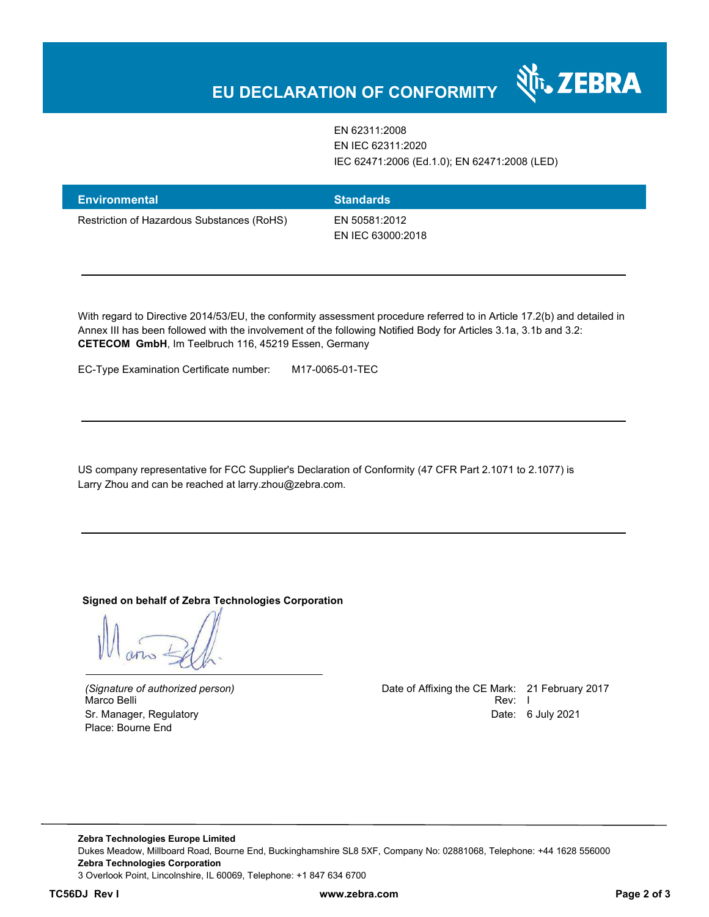# **EU DECLARATION OF CONFORMITY**

EN 62311:2008 EN IEC 62311:2020 IEC 62471:2006 (Ed.1.0); EN 62471:2008 (LED)

र्शे<sub>ं</sub> ZEBRA

| <b>Environmental</b>                       | <b>Standards</b>                   |
|--------------------------------------------|------------------------------------|
| Restriction of Hazardous Substances (RoHS) | EN 50581:2012<br>EN IEC 63000:2018 |

With regard to Directive 2014/53/EU, the conformity assessment procedure referred to in Article 17.2(b) and detailed in Annex III has been followed with the involvement of the following Notified Body for Articles 3.1a, 3.1b and 3.2: **CETECOM GmbH**, Im Teelbruch 116, 45219 Essen, Germany

EC-Type Examination Certificate number: M17-0065-01-TEC

US company representative for FCC Supplier's Declaration of Conformity (47 CFR Part 2.1071 to 2.1077) is Larry Zhou and can be reached at larry.zhou@zebra.com.

**Signed on behalf of Zebra Technologies Corporation** 

Marco Belli Place: Bourne End

*(Signature of authorized person)* Date of Affixing the CE Mark: 21 February 2017 Sr. Manager, Regulatory Date: 6 July 2021

**Zebra Technologies Europe Limited**  Dukes Meadow, Millboard Road, Bourne End, Buckinghamshire SL8 5XF, Company No: 02881068, Telephone: +44 1628 556000 **Zebra Technologies Corporation**  3 Overlook Point, Lincolnshire, IL 60069, Telephone: +1 847 634 6700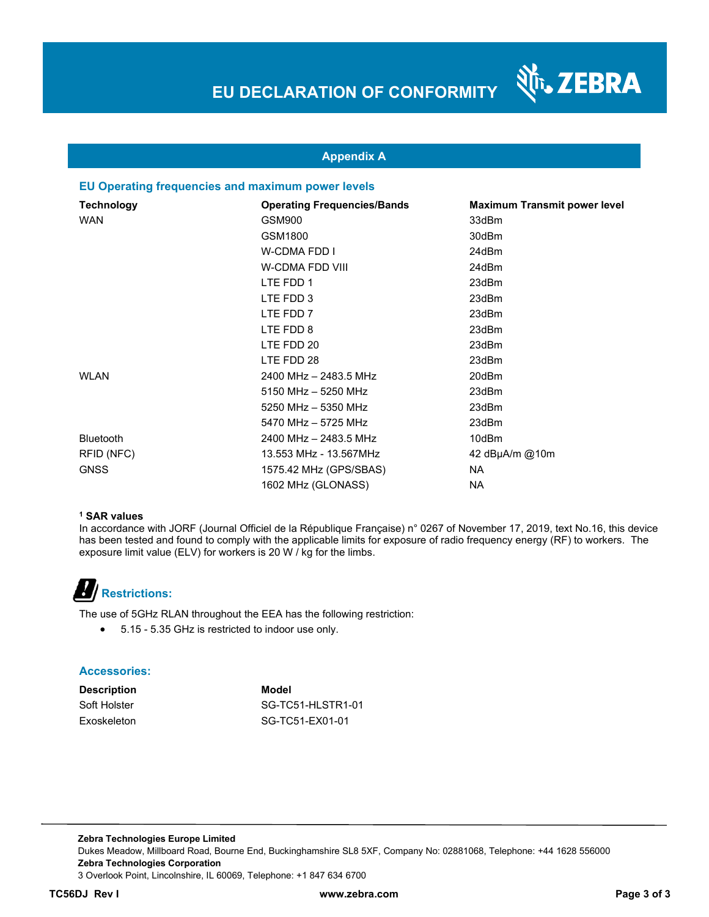र्शे<sub>ं</sub> ZEBRA



#### **EU Operating frequencies and maximum power levels**

| <b>Technology</b> | <b>Operating Frequencies/Bands</b> | <b>Maximum Transmit power level</b> |
|-------------------|------------------------------------|-------------------------------------|
| <b>WAN</b>        | GSM900                             | 33dBm                               |
|                   | GSM1800                            | 30dBm                               |
|                   | <b>W-CDMA FDD I</b>                | 24dBm                               |
|                   | W-CDMA FDD VIII                    | 24dBm                               |
|                   | LTE FDD 1                          | 23dBm                               |
|                   | LTE FDD 3                          | 23dBm                               |
|                   | LTE FDD 7                          | 23dBm                               |
|                   | LTE FDD 8                          | 23dBm                               |
|                   | LTE FDD 20                         | 23dBm                               |
|                   | LTE FDD 28                         | 23dBm                               |
| <b>WLAN</b>       | 2400 MHz - 2483.5 MHz              | 20dBm                               |
|                   | 5150 MHz - 5250 MHz                | 23dBm                               |
|                   | 5250 MHz - 5350 MHz                | 23dBm                               |
|                   | 5470 MHz - 5725 MHz                | 23dBm                               |
| <b>Bluetooth</b>  | 2400 MHz - 2483.5 MHz              | 10dBm                               |
| RFID (NFC)        | 13.553 MHz - 13.567MHz             | 42 $dB\mu A/m$ @10m                 |
| <b>GNSS</b>       | 1575.42 MHz (GPS/SBAS)             | NA.                                 |
|                   | 1602 MHz (GLONASS)                 | <b>NA</b>                           |

#### **1 SAR values**

In accordance with JORF (Journal Officiel de la République Française) n° 0267 of November 17, 2019, text No.16, this device has been tested and found to comply with the applicable limits for exposure of radio frequency energy (RF) to workers. The exposure limit value (ELV) for workers is 20 W / kg for the limbs.

### **Restrictions:**

The use of 5GHz RLAN throughout the EEA has the following restriction:

5.15 - 5.35 GHz is restricted to indoor use only.

#### **Accessories:**

**Description Model**

Soft Holster SG-TC51-HLSTR1-01 Exoskeleton SG-TC51-EX01-01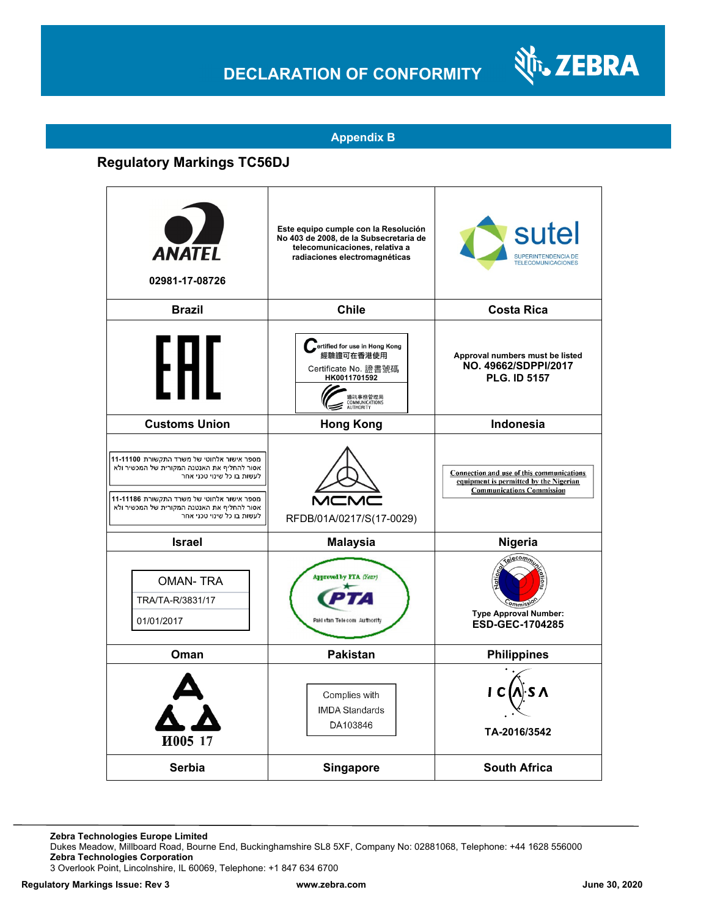## **DECLARATION OF CONFORMITY**



#### **Appendix B**

### **Regulatory Markings TC56DJ**

| <b>ANATEL</b><br>02981-17-08726                                                                                                                                                                                                                   | Este equipo cumple con la Resolución<br>No 403 de 2008, de la Subsecretaria de<br>telecomunicaciones, relativa a<br>radiaciones electromagnéticas | sutel<br>SUPERINTENDENCIA DE<br><b>TELECOMUNICACIONES</b>                                                               |
|---------------------------------------------------------------------------------------------------------------------------------------------------------------------------------------------------------------------------------------------------|---------------------------------------------------------------------------------------------------------------------------------------------------|-------------------------------------------------------------------------------------------------------------------------|
| <b>Brazil</b>                                                                                                                                                                                                                                     | <b>Chile</b>                                                                                                                                      | <b>Costa Rica</b>                                                                                                       |
| FHI.                                                                                                                                                                                                                                              | Fertified for use in Hong Kong<br>經驗證可在香港使用<br>Certificate No. 證書號碼<br>HK0011701592<br>通訊事務管理局<br>COMMUNICATIONS<br>AUTHORITY                     | Approval numbers must be listed<br>NO. 49662/SDPPI/2017<br><b>PLG. ID 5157</b>                                          |
| <b>Customs Union</b>                                                                                                                                                                                                                              | <b>Hong Kong</b>                                                                                                                                  | <b>Indonesia</b>                                                                                                        |
| מספר אישור אלחוטי של משרד התקשורת 11-1100<br>אסור להחליף את האנטנה המקורית של המכשיר ולא<br>לעשות בו כל שינוי טכני אחר<br>מספר אישור אלחוטי של משרד התקשורת 11-11186<br>אסור להחליף את האנטנה המקורית של המכשיר ולא<br>לעשות בו כל שינוי טכני אחר | $\overline{\mathsf{M}}$<br>RFDB/01A/0217/S(17-0029)                                                                                               | Connection and use of this communications<br>equipment is permitted by the Nigerian<br><b>Communications Commission</b> |
| <b>Israel</b>                                                                                                                                                                                                                                     | <b>Malaysia</b>                                                                                                                                   | Nigeria                                                                                                                 |
| <b>OMAN-TRA</b><br>TRA/TA-R/3831/17<br>01/01/2017                                                                                                                                                                                                 | Approved by FTA (Year)<br>Paki stan Telecom Authority                                                                                             | alecom <sub>n</sub><br><b>Type Approval Number:</b><br>ESD-GEC-1704285                                                  |
| Oman                                                                                                                                                                                                                                              | <b>Pakistan</b>                                                                                                                                   | <b>Philippines</b>                                                                                                      |
| <b>И005 17</b>                                                                                                                                                                                                                                    | Complies with<br><b>IMDA Standards</b><br>DA103846                                                                                                | TA-2016/3542                                                                                                            |
| Serbia                                                                                                                                                                                                                                            | <b>Singapore</b>                                                                                                                                  | <b>South Africa</b>                                                                                                     |

Dukes Meadow, Millboard Road, Bourne End, Buckinghamshire SL8 5XF, Company No: 02881068, Telephone: +44 1628 556000 **Zebra Technologies Corporation** 

3 Overlook Point, Lincolnshire, IL 60069, Telephone: +1 847 634 6700